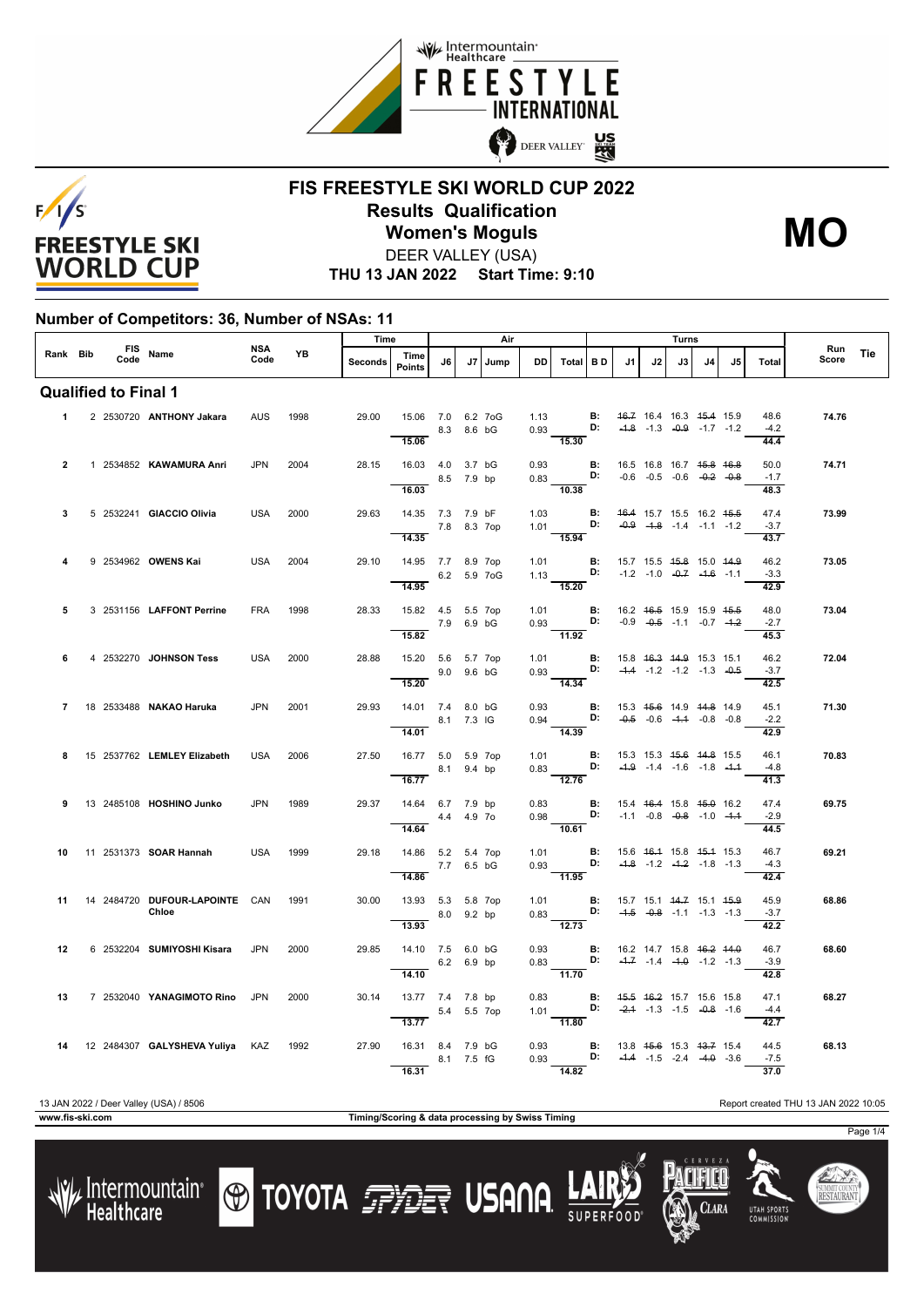



#### **FIS FREESTYLE SKI WORLD CUP 2022 Results Qualification** DEER VALLEY (USA) **Women's Moguls MO**

**THU 13 JAN 2022 Start Time: 9:10**

#### **Number of Competitors: 36, Number of NSAs: 11**

|                             |  |  |  |                                         |             | <b>YB</b> | Time    |                                                  |            |    | Air  |           |                                                                                                                                            | Turns                                          |    |                                                                                      |    |    |                                |              |     |
|-----------------------------|--|--|--|-----------------------------------------|-------------|-----------|---------|--------------------------------------------------|------------|----|------|-----------|--------------------------------------------------------------------------------------------------------------------------------------------|------------------------------------------------|----|--------------------------------------------------------------------------------------|----|----|--------------------------------|--------------|-----|
| Rank Bib                    |  |  |  | FIS Name                                | NSA<br>Code |           | Seconds | Time<br><b>Points</b>                            | J6         | J7 | Jump | <b>DD</b> | Total BD                                                                                                                                   | J1                                             | J2 | J3                                                                                   | J4 | J5 | <b>Total</b>                   | Run<br>Score | Tie |
| <b>Qualified to Final 1</b> |  |  |  |                                         |             |           |         |                                                  |            |    |      |           |                                                                                                                                            |                                                |    |                                                                                      |    |    |                                |              |     |
| $1 \quad$                   |  |  |  | 2 2530720 ANTHONY Jakara                | <b>AUS</b>  | 1998      | 29.00   | 15.06 7.0 6.2 7oG<br>15.06                       | 8.3 8.6 bG |    |      | 1.13      | 0.93 D: $-4.8$ $-1.3$ $-0.9$ $-1.7$ $-1.2$<br>$\overline{15.30}$                                                                           | <b>B:</b> 46.7 16.4 16.3 45.4 15.9             |    |                                                                                      |    |    | 48.6<br>$-4.2$<br>44.4         | 74.76        |     |
| $\overline{2}$              |  |  |  | 1 2534852 KAWAMURA Anri                 | <b>JPN</b>  | 2004      | 28.15   | 16.03  4.0  3.7 bG<br>8.5 7.9 bp<br>16.03        |            |    |      |           | 0.93 <b>B:</b> 16.5 16.8 16.7 <del>15.8</del> 16.8<br>0.83 <b>D:</b> -0.6 -0.5 -0.6 -0. <del>2</del> -0.8<br>$\frac{1}{10.38}$             |                                                |    |                                                                                      |    |    | 50.0<br>$-1.7$<br>48.3         | 74.71        |     |
| 3                           |  |  |  | 5 2532241 GIACCIO Olivia                | <b>USA</b>  | 2000      | 29.63   | 14.35 7.3 7.9 bF<br>7.8 8.3 7op                  |            |    |      |           | 1.03 <b>B:</b> 4 <del>6.4</del> 15.7 15.5 16.2 4 <del>5.5</del><br>1.01 <b>D:</b> -0.9 -1.8 -1.4 -1.1 -1.2                                 |                                                |    |                                                                                      |    |    | 47.4<br>$-3.7$                 | 73.99        |     |
| 4                           |  |  |  | 9 2534962 OWENS Kai                     | USA         | 2004      | 29.10   | 14.35<br>14.95 7.7 8.9 7op<br>6.2 5.9 7 o G      |            |    |      |           | $\overline{15.94}$<br>1.01 <b>B:</b> 15.7 15.5 4 <del>5.8</del> 15.0 44.9<br>1.13 <b>D:</b> -1.2 -1.0 - <del>0.7</del> -1.6 -1.1           |                                                |    |                                                                                      |    |    | 43.7<br>46.2<br>$-3.3$         | 73.05        |     |
| 5                           |  |  |  | 3 2531156 LAFFONT Perrine               | <b>FRA</b>  | 1998      | 28.33   | 14.95<br>15.82  4.5  5.5  7op<br>7.9 6.9 bG      |            |    |      |           | 15.20<br>1.01 <b>B</b> : 16.2 4 <del>6.5</del> 15.9 15.9 45.5<br>0.93 <b>D:</b> -0.9 -0.5 -1.1 -0.7 -1.2                                   |                                                |    |                                                                                      |    |    | 42.9<br>48.0<br>$-2.7$         | 73.04        |     |
| 6                           |  |  |  | 4 2532270 JOHNSON Tess                  | <b>USA</b>  | 2000      | 28.88   | 15.82<br>15.20 5.6 5.7 7op                       | 9.0 9.6 bG |    |      | 1.01      | 11.92<br>$0.93$ D: $-4.4$ $-1.2$ $-1.2$ $-1.3$ $-0.5$                                                                                      | <b>B:</b> 15.8 46.3 44.9 15.3 15.1             |    |                                                                                      |    |    | 45.3<br>46.2<br>$-3.7$         | 72.04        |     |
| 7                           |  |  |  | 18 2533488 <b>NAKAO Haruka</b>          | JPN         | 2001      | 29.93   | 15.20<br>14.01 7.4 8.0 bG<br>$-$ 8.1 7.3 IG      |            |    |      | 0.93      | $\overline{14.34}$                                                                                                                         | <b>B:</b> 15.3 4 <del>5.6</del> 14.9 44.8 14.9 |    |                                                                                      |    |    | 42.5<br>45.1<br>$-2.2$         | 71.30        |     |
| 8                           |  |  |  | 15 2537762 LEMLEY Elizabeth             | <b>USA</b>  | 2006      | 27.50   | 14.01<br>16.77 5.0 5.9 7op<br>8.1 9.4 bp         |            |    |      |           | 14.39<br>1.01 <b>B:</b> 15.3 15.3 <del>15.6 14.8</del> 15.5<br>0.83 <b>D:</b> -4.9 -1.4 -1.6 -1.8 -4.4                                     |                                                |    |                                                                                      |    |    | 42.9<br>46.1<br>$-4.8$         | 70.83        |     |
| 9                           |  |  |  | 13 2485108 HOSHINO Junko                | <b>JPN</b>  | 1989      | 29.37   | 16.77<br>14.64 6.7 7.9 bp<br>4.4 4.9 70<br>14.64 |            |    |      |           | $\frac{1}{12.76}$<br>0.83 <b>B</b> : 15.4 <del>16.4</del> 15.8 <del>15.0</del> 16.2<br>0.98 <b>D:</b> -1.1 -0.8 -0.8 -1.0 -1.1<br>$-10.61$ |                                                |    |                                                                                      |    |    | 41.3<br>47.4<br>$-2.9$<br>44.5 | 69.75        |     |
| 10                          |  |  |  | 11 2531373 <b>SOAR Hannah</b>           | <b>USA</b>  | 1999      | 29.18   | 14.86 5.2 5.4 7op<br>7.7 6.5 bG<br>14.86         |            |    |      |           | 1.01 <b>B:</b> 15.6 46.4 15.8 45.4 15.3<br>0.93 D: $-4.8$ -1.2 $-4.2$ -1.8 -1.3<br>$\overline{11.95}$                                      |                                                |    |                                                                                      |    |    | 46.7<br>$-4.3$<br>42.4         | 69.21        |     |
| 11                          |  |  |  | 14 2484720 DUFOUR LAPOINTE CAN<br>Chloe |             | 1991      | 30.00   | 13.93 5.3 5.8 7op<br>8.0 9.2 bp<br>13.93         |            |    |      |           | $1.01$ B:<br>0.83 D:<br>$\overline{12.73}$                                                                                                 |                                                |    | 15.7 15.1 <del>14.7</del> 15.1 <del>15.9</del><br>$-4.5$ $-0.8$ $-1.1$ $-1.3$ $-1.3$ |    |    | 45.9<br>$-3.7$<br>42.2         | 68.86        |     |
| 12                          |  |  |  | 6 2532204 SUMIYOSHI Kisara              | <b>JPN</b>  | 2000      | 29.85   | 14.10 7.5 6.0 bG<br>$-$ 6.2 6.9 bp<br>14.10      |            |    |      |           | 0.93 <b>B</b> : 16.2 14.7 15.8 <del>16.2 14.0</del><br>0.83 <b>D:</b> -4.7 -1.4 -4.0 -1.2 -1.3<br>$\frac{1}{11.70}$                        |                                                |    |                                                                                      |    |    | 46.7<br>$-3.9$<br>42.8         | 68.60        |     |
| 13                          |  |  |  | 7 2532040 YANAGIMOTO Rino JPN           |             | 2000      | 30.14   | 13.77 7.4 7.8 bp<br>5.4 5.5 7op<br>13.77         |            |    |      | 0.83      | 1.01 <b>D:</b> $-2.4$ -1.3 -1.5 $-0.8$ -1.6<br>$-11.80$                                                                                    | <b>B:</b> 4 <del>5.5 46.2</del> 15.7 15.6 15.8 |    |                                                                                      |    |    | 47.1<br>$-4.4$<br>42.7         | 68.27        |     |
| 14                          |  |  |  | 12 2484307 GALYSHEVA Yuliya KAZ         |             | 1992      | 27.90   | 16.31 8.4 7.9 bG<br>16.31                        | 8.1 7.5 fG |    |      |           | 0.93 <b>B:</b> 13.8 45.6 15.3 43.7 15.4<br>0.93 <b>D:</b> -4.4 -1.5 -2.4 -4.9 -3.6<br>14.82                                                |                                                |    |                                                                                      |    |    | 44.5<br>$-7.5$<br>37.0         | 68.13        |     |

#### 13 JAN 2022 / Deer Valley (USA) / 8506 Report created THU 13 JAN 2022 10:05

**TOYOTA FILE USANA** 



Clara

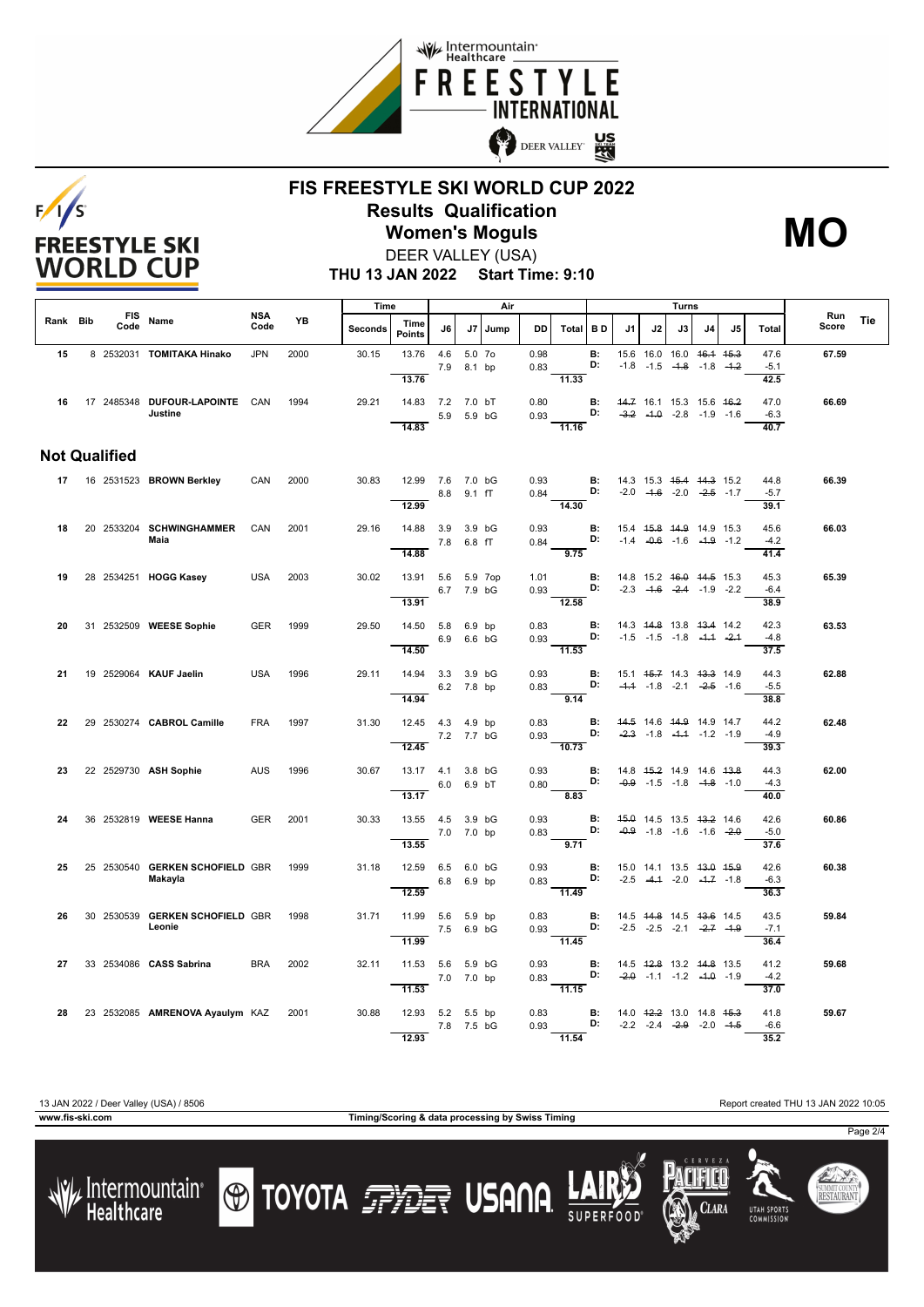



### **FIS FREESTYLE SKI WORLD CUP 2022 Results Qualification Women's Moguls MO**



**THU 13 JAN 2022 Start Time: 9:10** DEER VALLEY (USA)

|          |                      |      |                                              |                    |      | Time           |                             |            | Air                  |         |                                                                 |                          |                 |                                               |                                                                           |    | Turns |    |                        |              |            |
|----------|----------------------|------|----------------------------------------------|--------------------|------|----------------|-----------------------------|------------|----------------------|---------|-----------------------------------------------------------------|--------------------------|-----------------|-----------------------------------------------|---------------------------------------------------------------------------|----|-------|----|------------------------|--------------|------------|
| Rank Bib |                      | Code | FIS Name                                     | <b>NSA</b><br>Code | YB   | <b>Seconds</b> | Time<br><b>Points</b>       | J6         |                      | J7 Jump | <b>DD</b>                                                       | Total BD                 |                 | J1                                            | J2                                                                        | J3 | J4    | J5 | <b>Total</b>           | Run<br>Score | <b>Tie</b> |
| 15       |                      |      | 8 2532031 TOMITAKA Hinako                    | <b>JPN</b>         | 2000 | 30.15          | 13.76<br>13.76              | 4.6        | 5.0 7o<br>7.9 8.1 bp |         | 0.98<br>0.83                                                    | 11.33                    | <b>B:</b><br>D: |                                               | 15.6 16.0 16.0 46.4 45.3<br>$-1.8$ $-1.5$ $-1.8$ $-1.8$ $-1.2$            |    |       |    | 47.6<br>$-5.1$<br>42.5 | 67.59        |            |
|          |                      |      | 16 17 2485348 DUFOUR-LAPOINTE CAN<br>Justine |                    | 1994 | 29.21          | 14.83 7.2 7.0 bT<br>14.83   |            | 5.9 5.9 bG           |         | 0.80<br>0.93                                                    | 11.16                    | <b>B:</b><br>D: | 44.7 16.1 15.3 15.6 46.2                      | $-3.2$ $-4.0$ $-2.8$ $-1.9$ $-1.6$                                        |    |       |    | 47.0<br>$-6.3$<br>40.7 | 66.69        |            |
|          | <b>Not Qualified</b> |      |                                              |                    |      |                |                             |            |                      |         |                                                                 |                          |                 |                                               |                                                                           |    |       |    |                        |              |            |
|          |                      |      | 17 16 2531523 BROWN Berkley                  | CAN                | 2000 | 30.83          | 12.99 7.6 7.0 bG<br>12.99   |            | 8.8 9.1 fT           |         | 0.93 <b>B:</b> 14.3 15.3 <del>15.4 14.3</del> 15.2<br>$0.84$ D: | 14.30                    |                 |                                               | $-2.0$ $-4.6$ $-2.0$ $-2.5$ $-1.7$                                        |    |       |    | 44.8<br>$-5.7$<br>39.1 | 66.39        |            |
| 18       |                      |      | 20 2533204 SCHWINGHAMMER<br>Maia             | CAN                | 2001 | 29.16          | 14.88 3.9 3.9 bG<br>14.88   |            | 7.8 6.8 fT           |         | 0.93<br>0.84                                                    | D:<br>$\overline{9.75}$  | <b>B:</b>       |                                               | 15.4 45.8 44.9 14.9 15.3<br>$-1.4$ $-0.6$ $-1.6$ $-1.9$ $-1.2$            |    |       |    | 45.6<br>$-4.2$<br>41.4 | 66.03        |            |
| 19       |                      |      | 28 2534251 HOGG Kasey                        | <b>USA</b>         | 2003 | 30.02          | 13.91 5.6 5.9 7op<br>13.91  |            | 6.7 7.9 bG           |         | 1.01<br>$0.93$ D: $-2.3$ $-4.6$ $-2.4$ $-1.9$ $-2.2$            | $\frac{1}{12.58}$        |                 | <b>B:</b> 14.8 15.2 <del>16.0 14.5</del> 15.3 |                                                                           |    |       |    | 45.3<br>$-6.4$<br>38.9 | 65.39        |            |
| 20       |                      |      | 31 2532509 WEESE Sophie                      | <b>GER</b>         | 1999 | 29.50          | 14.50 5.8 6.9 bp<br>14.50   |            | 6.9 6.6 bG           |         | 0.83<br>$0.93$ D:<br>$-11.53$                                   |                          | <b>B:</b>       |                                               | 14.3 44.8 13.8 43.4 14.2<br>$-1.5$ $-1.5$ $-1.8$ $-4.4$ $-2.4$            |    |       |    | 42.3<br>$-4.8$<br>37.5 | 63.53        |            |
| 21       |                      |      | 19 2529064 KAUF Jaelin                       | <b>USA</b>         | 1996 | 29.11          | 14.94 3.3 3.9 bG<br>14.94   |            | 6.2 7.8 bp           |         | 0.93<br>$0.83$ D:                                               | 9.14                     | B:              |                                               | 15.1 45.7 14.3 43.3 14.9<br>$-4.4$ $-1.8$ $-2.1$ $-2.5$ $-1.6$            |    |       |    | 44.3<br>$-5.5$<br>38.8 | 62.88        |            |
| 22       |                      |      | 29 2530274 CABROL Camille                    | <b>FRA</b>         | 1997 | 31.30          | 12.45 4.3 4.9 bp<br>12.45   | 7.2 7.7 bG |                      |         | 0.83<br>0.93<br>10.73                                           | D:                       | B:              | 44.5 14.6 44.9 14.9 14.7                      | $-2.3$ $-1.8$ $-4.4$ $-1.2$ $-1.9$                                        |    |       |    | 44.2<br>$-4.9$<br>39.3 | 62.48        |            |
| 23       |                      |      | 22 2529730 ASH Sophie                        | <b>AUS</b>         | 1996 | 30.67          | 13.17  4.1  3.8 bG<br>13.17 |            | 6.0 6.9 bT           |         | 0.93<br>0.80                                                    | $\overline{B}$ :<br>8.83 | D:              | 14.8 45.2 14.9 14.6 43.8                      | $-0.9$ $-1.5$ $-1.8$ $-4.8$ $-1.0$                                        |    |       |    | 44.3<br>$-4.3$<br>40.0 | 62.00        |            |
| 24       |                      |      | 36 2532819 WEESE Hanna                       | <b>GER</b>         | 2001 | 30.33          | 13.55 4.5 3.9 bG<br>13.55   |            | 7.0 7.0 bp           |         | 0.93<br>0.83                                                    | D:<br>9.71               |                 | <b>B:</b> 45.0 14.5 13.5 43.2 14.6            | $-0.9$ $-1.8$ $-1.6$ $-1.6$ $-2.0$                                        |    |       |    | 42.6<br>$-5.0$<br>37.6 | 60.86        |            |
| 25       |                      |      | 25 2530540 GERKEN SCHOFIELD GBR<br>Makayla   |                    | 1999 | 31.18          | 12.59 6.5 6.0 bG<br>12.59   |            | 6.8 6.9 bp           |         | 0.93<br>0.83                                                    | $\frac{1}{11.49}$        | <b>B:</b><br>D: |                                               | 15.0 14.1 13.5 <del>13.0 15.9</del><br>$-2.5$ $-4.4$ $-2.0$ $-4.7$ $-1.8$ |    |       |    | 42.6<br>$-6.3$<br>36.3 | 60.38        |            |
| 26       |                      |      | 30 2530539 GERKEN SCHOFIELD GBR<br>Leonie    |                    | 1998 | 31.71          | 11.99 5.6 5.9 bp<br>11.99   | 7.5 6.9 bG |                      |         | 0.83<br>0.93 <b>D:</b> $-2.5$ $-2.5$ $-2.1$ $-2.7$ $-4.9$       | 11.45                    |                 | <b>B:</b> 14.5 44.8 14.5 43.6 14.5            |                                                                           |    |       |    | 43.5<br>$-7.1$<br>36.4 | 59.84        |            |
| 27       |                      |      | 33 2534086 CASS Sabrina                      | <b>BRA</b>         | 2002 | 32.11          | 11.53 5.6 5.9 bG<br>11.53   | 7.0 7.0 bp |                      |         | 0.93<br>0.83                                                    | D:<br>11.15              | <b>B:</b>       |                                               | 14.5 42.8 13.2 44.8 13.5<br>$-2.0$ $-1.1$ $-1.2$ $-4.0$ $-1.9$            |    |       |    | 41.2<br>$-4.2$<br>37.0 | 59.68        |            |
| 28       |                      |      | 23 2532085 AMRENOVA Ayaulym KAZ              |                    | 2001 | 30.88          | 12.93 5.2 5.5 bp<br>12.93   | 7.8 7.5 bG |                      |         | 0.83<br>0.93 <b>D:</b> $-2.2$ $-2.4$ $-2.9$ $-2.0$ $-1.5$       | 11.54                    |                 | <b>B:</b> 14.0 42.2 13.0 14.8 45.3            |                                                                           |    |       |    | 41.8<br>$-6.6$<br>35.2 | 59.67        |            |

**www.fis-ski.com Timing/Scoring & data processing by Swiss Timing**

**TOYOTA FELLER USANA** 

13 JAN 2022 / Deer Valley (USA) / 8506 Report created THU 13 JAN 2022 10:05





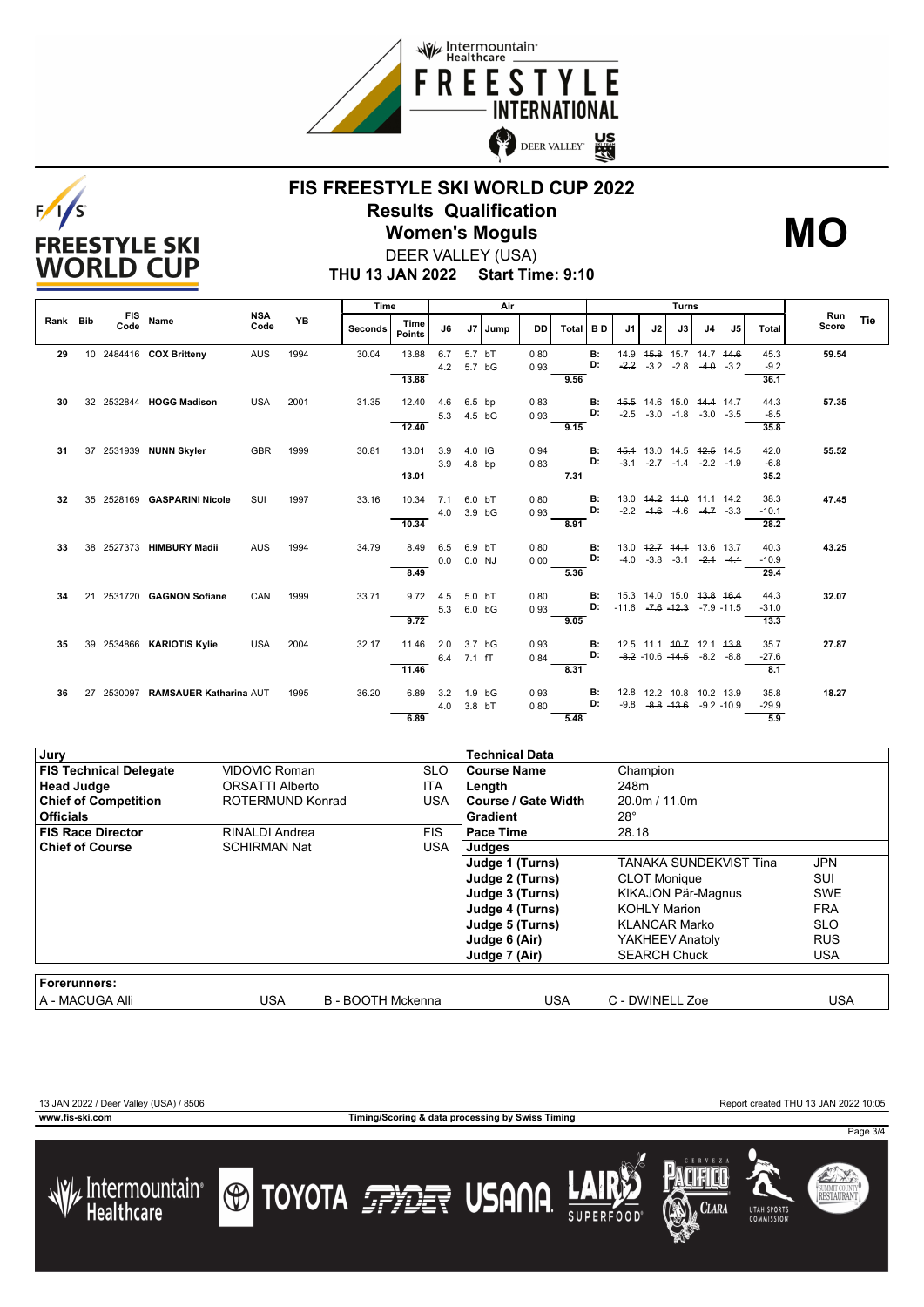



## **FIS FREESTYLE SKI WORLD CUP 2022 Results Qualification Women's Moguls MO**



DEER VALLEY (USA)

**THU 13 JAN 2022 Start Time: 9:10**

|          |    |      |                                   |                    | <b>YB</b> | Time    |                       |     | Air               |         |      |       | <b>Turns</b> |                                       |                       |    |                                     |        |         |                     |     |
|----------|----|------|-----------------------------------|--------------------|-----------|---------|-----------------------|-----|-------------------|---------|------|-------|--------------|---------------------------------------|-----------------------|----|-------------------------------------|--------|---------|---------------------|-----|
| Rank Bib |    | Code | FIS Name                          | <b>NSA</b><br>Code |           | Seconds | Time<br><b>Points</b> | J6  |                   | J7 Jump | DD   | Total | <b>BD</b>    | J1                                    | J2                    | J3 | J <sub>4</sub>                      | J5     | Total   | <b>Run</b><br>Score | Tie |
| 29       |    |      | 10 2484416 COX Britteny           | AUS                | 1994      | 30.04   | 13.88                 | 6.7 | 5.7 bT            |         | 0.80 |       | <b>B:</b>    |                                       |                       |    | 14.9   45.8   15.7   14.7   44.6    |        | 45.3    | 59.54               |     |
|          |    |      |                                   |                    |           |         |                       | 4.2 | 5.7 bG            |         | 0.93 |       | D:           | $-2.2$                                | $-3.2 -2.8$           |    | $-4.0$                              | $-3.2$ | $-9.2$  |                     |     |
|          |    |      |                                   |                    |           |         | 13.88                 |     |                   |         |      | 9.56  |              |                                       |                       |    |                                     |        | 36.1    |                     |     |
| 30       | 32 |      | 2532844 HOGG Madison              | <b>USA</b>         | 2001      | 31.35   | 12.40                 | 4.6 | 6.5 bp            |         | 0.83 |       | <b>B:</b>    |                                       |                       |    | 45.5 14.6 15.0 44.4 14.7            |        | 44.3    | 57.35               |     |
|          |    |      |                                   |                    |           |         |                       | 5.3 | 4.5 bG            |         | 0.93 |       | D:           |                                       | $-2.5 -3.0 -1.8$      |    | $-3.0 -3.5$                         |        | $-8.5$  |                     |     |
|          |    |      |                                   |                    |           |         | 12.40                 |     |                   |         |      | 9.15  |              |                                       |                       |    |                                     |        | 35.8    |                     |     |
| 31       |    |      | 37 2531939 NUNN Skyler            | <b>GBR</b>         | 1999      | 30.81   | 13.01                 | 3.9 | 4.0 IG            |         | 0.94 |       | в:           |                                       |                       |    | 45.4 13.0 14.5 42.5 14.5            |        | 42.0    | 55.52               |     |
|          |    |      |                                   |                    |           |         |                       | 3.9 | $4.8$ bp          |         | 0.83 |       | D:           |                                       | $-3.1$ $-2.7$ $-4.4$  |    | $-2.2 -1.9$                         |        | $-6.8$  |                     |     |
|          |    |      |                                   |                    |           |         | 13.01                 |     |                   |         |      | 7.31  |              |                                       |                       |    |                                     |        | 35.2    |                     |     |
| 32       | 35 |      | 2528169 GASPARINI Nicole          | SUI                | 1997      | 33.16   | 10.34                 | 7.1 | 6.0 bT            |         | 0.80 |       | В:           |                                       |                       |    | 13.0 44.2 44.0 11.1 14.2            |        | 38.3    | 47.45               |     |
|          |    |      |                                   |                    |           |         |                       | 4.0 | 3.9 bG            |         | 0.93 |       | D:           |                                       |                       |    | $-2.2$ $-4.6$ $-4.6$ $-4.7$ $-3.3$  |        | $-10.1$ |                     |     |
|          |    |      |                                   |                    |           |         | 10.34                 |     |                   |         |      | 8.91  |              |                                       |                       |    |                                     |        | 28.2    |                     |     |
| 33       | 38 |      | 2527373 HIMBURY Madii             | <b>AUS</b>         | 1994      | 34.79   | 8.49                  | 6.5 | 6.9 bT            |         | 0.80 |       | <b>B:</b>    |                                       |                       |    | 13.0 42.7 44.4 13.6 13.7            |        | 40.3    | 43.25               |     |
|          |    |      |                                   |                    |           |         |                       | 0.0 | $0.0$ NJ          |         | 0.00 |       | D:           |                                       | $-4.0$ $-3.8$ $-3.1$  |    | $-2.1 - 4.1$                        |        | $-10.9$ |                     |     |
|          |    |      |                                   |                    |           |         | 8.49                  |     |                   |         |      | 5.36  |              |                                       |                       |    |                                     |        | 29.4    |                     |     |
| 34       |    |      | 21 2531720 GAGNON Sofiane         | CAN                | 1999      | 33.71   | 9.72                  | 4.5 | 5.0 bT            |         | 0.80 |       | <b>B:</b>    |                                       |                       |    | 15.3 14.0 15.0 <del>13.8 16.4</del> |        | 44.3    | 32.07               |     |
|          |    |      |                                   |                    |           |         |                       | 5.3 | 6.0 bG            |         | 0.93 |       | D:           | $-11.6$ $-7.6$ $-12.3$ $-7.9$ $-11.5$ |                       |    |                                     |        | $-31.0$ |                     |     |
|          |    |      |                                   |                    |           |         | 9.72                  |     |                   |         |      | 9.05  |              |                                       |                       |    |                                     |        | 13.3    |                     |     |
| 35       | 39 |      | 2534866 KARIOTIS Kylie            | <b>USA</b>         | 2004      | 32.17   | 11.46                 | 2.0 | 3.7 bG            |         | 0.93 |       | В:           |                                       |                       |    | 12.5 11.1 40.7 12.1 43.8            |        | 35.7    | 27.87               |     |
|          |    |      |                                   |                    |           |         |                       | 6.4 | $7.1$ fT          |         | 0.84 |       | D:           |                                       |                       |    | $-8.2$ -10.6 $-44.5$ -8.2 -8.8      |        | $-27.6$ |                     |     |
|          |    |      |                                   |                    |           |         | 11.46                 |     |                   |         |      | 8.31  |              |                                       |                       |    |                                     |        | 8.1     |                     |     |
| 36       |    |      | 27 2530097 RAMSAUER Katharina AUT |                    | 1995      | 36.20   | 6.89                  | 3.2 | 1.9 <sub>bG</sub> |         | 0.93 |       | В:           |                                       |                       |    | 12.8 12.2 10.8 <del>10.2 13.9</del> |        | 35.8    | 18.27               |     |
|          |    |      |                                   |                    |           |         |                       | 4.0 | 3.8 bT            |         | 0.80 |       | D.           |                                       | $-9.8$ $-8.8$ $-13.6$ |    | $-9.2 - 10.9$                       |        | $-29.9$ |                     |     |
|          |    |      |                                   |                    |           |         | 6.89                  |     |                   |         |      | 5.48  |              |                                       |                       |    |                                     |        | 5.9     |                     |     |

| Jury                          |                      |                   | <b>Technical Data</b> |                        |            |
|-------------------------------|----------------------|-------------------|-----------------------|------------------------|------------|
| <b>FIS Technical Delegate</b> | <b>VIDOVIC Roman</b> | <b>SLO</b>        | <b>Course Name</b>    | Champion               |            |
| <b>Head Judge</b>             | ORSATTI Alberto      | <b>ITA</b>        | Length                | 248m                   |            |
| <b>Chief of Competition</b>   | ROTERMUND Konrad     | USA               | Course / Gate Width   |                        |            |
| <b>Officials</b>              |                      |                   | <b>Gradient</b>       | $28^\circ$             |            |
| <b>FIS Race Director</b>      | RINALDI Andrea       | <b>FIS</b>        | Pace Time             | 28.18                  |            |
| <b>Chief of Course</b>        | <b>SCHIRMAN Nat</b>  | USA               | Judges                |                        |            |
|                               |                      |                   | Judge 1 (Turns)       | TANAKA SUNDEKVIST Tina | <b>JPN</b> |
|                               |                      |                   | Judge 2 (Turns)       | <b>CLOT Monique</b>    | <b>SUI</b> |
|                               |                      |                   | Judge 3 (Turns)       | KIKAJON Pär-Magnus     | <b>SWE</b> |
|                               |                      |                   | Judge 4 (Turns)       | <b>KOHLY Marion</b>    | <b>FRA</b> |
|                               |                      |                   | Judge 5 (Turns)       | <b>KLANCAR Marko</b>   | <b>SLO</b> |
|                               |                      |                   | Judge 6 (Air)         | YAKHEEV Anatoly        | <b>RUS</b> |
|                               |                      |                   | Judge 7 (Air)         | <b>SEARCH Chuck</b>    | <b>USA</b> |
| Forerunners:                  |                      |                   |                       |                        |            |
| l A - MACUGA Alli             | USA                  | B - BOOTH Mckenna | USA                   | C - DWINELL Zoe        | USA        |

13 JAN 2022 / Deer Valley (USA) / 8506 Report created THU 13 JAN 2022 10:05

**www.fis-ski.com Timing/Scoring & data processing by Swiss Timing**